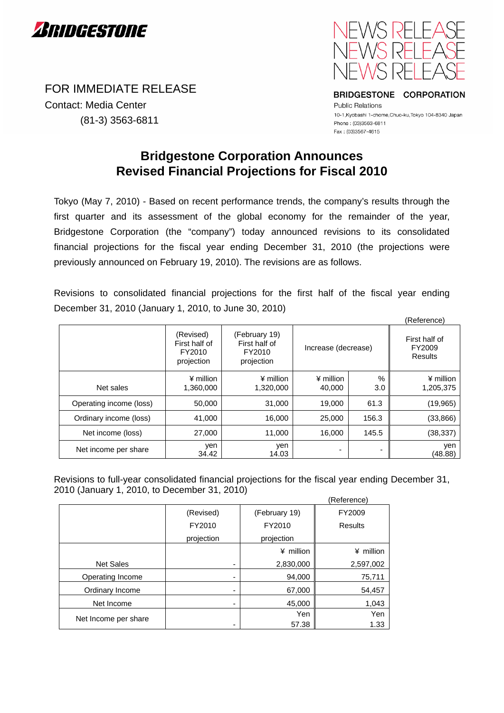

FOR IMMEDIATE RELEASE Contact: Media Center (81-3) 3563-6811



BRIDGESTONE CORPORATION

**Public Relations** 10-1, Kyobashi 1-chome, Chuo-ku, Tokyo 104-8340 Japan Phone: (03)3563-6811 Fax: (03)3567-4615

## **Bridgestone Corporation Announces Revised Financial Projections for Fiscal 2010**

Tokyo (May 7, 2010) - Based on recent performance trends, the company's results through the first quarter and its assessment of the global economy for the remainder of the year, Bridgestone Corporation (the "company") today announced revisions to its consolidated financial projections for the fiscal year ending December 31, 2010 (the projections were previously announced on February 19, 2010). The revisions are as follows.

Revisions to consolidated financial projections for the first half of the fiscal year ending December 31, 2010 (January 1, 2010, to June 30, 2010)

|                         |                                                    |                                                        |                            |             | (Reference)                        |
|-------------------------|----------------------------------------------------|--------------------------------------------------------|----------------------------|-------------|------------------------------------|
|                         | (Revised)<br>First half of<br>FY2010<br>projection | (February 19)<br>First half of<br>FY2010<br>projection | Increase (decrease)        |             | First half of<br>FY2009<br>Results |
| Net sales               | $*$ million<br>1,360,000                           | $\angle$ million<br>1,320,000                          | $\angle$ million<br>40,000 | $\%$<br>3.0 | $*$ million<br>1,205,375           |
| Operating income (loss) | 50,000                                             | 31,000                                                 | 19,000                     | 61.3        | (19, 965)                          |
| Ordinary income (loss)  | 41,000                                             | 16,000                                                 | 25,000                     | 156.3       | (33,866)                           |
| Net income (loss)       | 27,000                                             | 11,000                                                 | 16.000                     | 145.5       | (38, 337)                          |
| Net income per share    | yen<br>34.42                                       | yen<br>14.03                                           | ٠                          | ٠           | yen<br>(48.88)                     |

Revisions to full-year consolidated financial projections for the fiscal year ending December 31, 2010 (January 1, 2010, to December 31, 2010)

|                      |            |               | (Reference)    |
|----------------------|------------|---------------|----------------|
|                      | (Revised)  | (February 19) | FY2009         |
|                      | FY2010     | FY2010        | <b>Results</b> |
|                      | projection | projection    |                |
|                      |            | ¥ million     | ¥ million      |
| <b>Net Sales</b>     | ۰          | 2,830,000     | 2,597,002      |
| Operating Income     | ۰          | 94,000        | 75,711         |
| Ordinary Income      | ۰          | 67,000        | 54,457         |
| Net Income           | ۰          | 45,000        | 1,043          |
| Net Income per share |            | Yen           | Yen            |
|                      | ۰          | 57.38         | 1.33           |